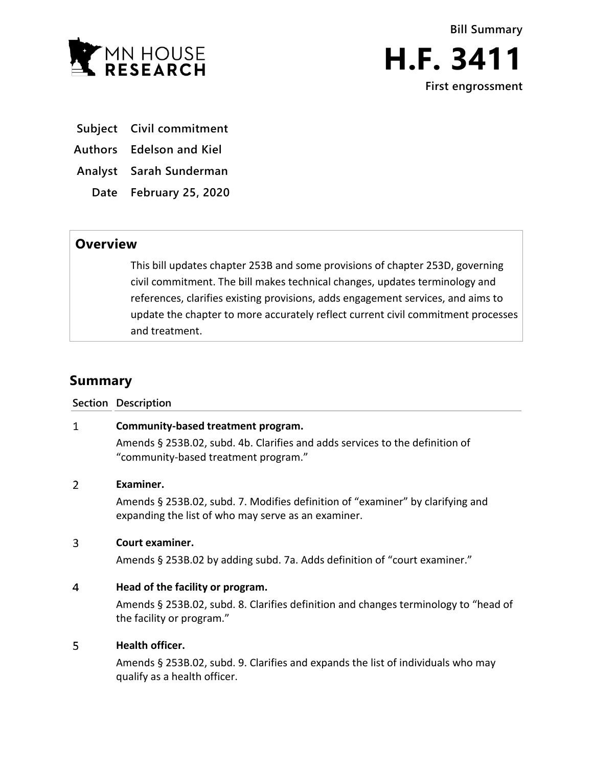



- **Subject Civil commitment**
- **Authors Edelson and Kiel**
- **Analyst Sarah Sunderman**
	- **Date February 25, 2020**

# **Overview**

This bill updates chapter 253B and some provisions of chapter 253D, governing civil commitment. The bill makes technical changes, updates terminology and references, clarifies existing provisions, adds engagement services, and aims to update the chapter to more accurately reflect current civil commitment processes and treatment.

# **Summary**

### **Section Description**

#### $\mathbf{1}$ **Community-based treatment program.**

Amends § 253B.02, subd. 4b. Clarifies and adds services to the definition of "community-based treatment program."

#### $\overline{2}$ **Examiner.**

Amends § 253B.02, subd. 7. Modifies definition of "examiner" by clarifying and expanding the list of who may serve as an examiner.

#### $\overline{3}$ **Court examiner.**

Amends § 253B.02 by adding subd. 7a. Adds definition of "court examiner."

#### $\overline{4}$ **Head of the facility or program.**

Amends § 253B.02, subd. 8. Clarifies definition and changes terminology to "head of the facility or program."

#### 5 **Health officer.**

Amends § 253B.02, subd. 9. Clarifies and expands the list of individuals who may qualify as a health officer.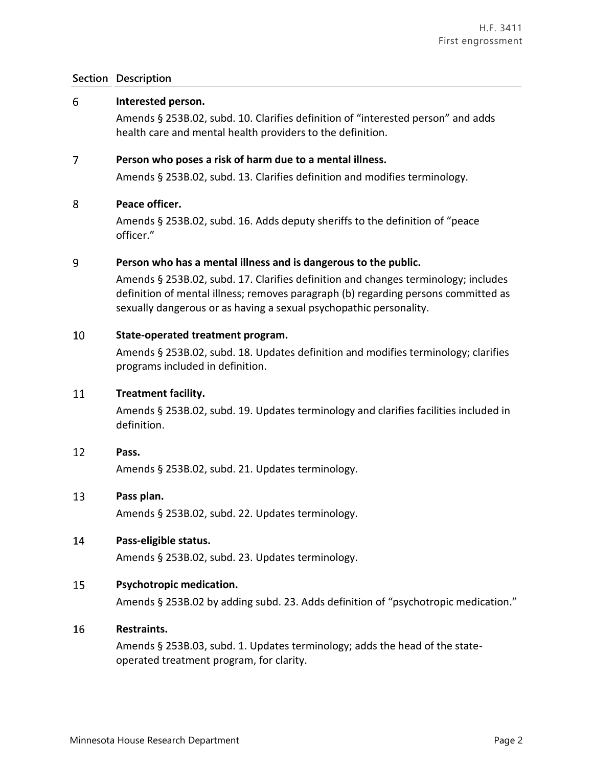#### 6 **Interested person.**

Amends § 253B.02, subd. 10. Clarifies definition of "interested person" and adds health care and mental health providers to the definition.

#### $\overline{7}$ **Person who poses a risk of harm due to a mental illness.**

Amends § 253B.02, subd. 13. Clarifies definition and modifies terminology.

#### 8 **Peace officer.**

Amends § 253B.02, subd. 16. Adds deputy sheriffs to the definition of "peace officer."

#### 9 **Person who has a mental illness and is dangerous to the public.**

Amends § 253B.02, subd. 17. Clarifies definition and changes terminology; includes definition of mental illness; removes paragraph (b) regarding persons committed as sexually dangerous or as having a sexual psychopathic personality.

#### 10 **State-operated treatment program.**

Amends § 253B.02, subd. 18. Updates definition and modifies terminology; clarifies programs included in definition.

#### 11 **Treatment facility.**

Amends § 253B.02, subd. 19. Updates terminology and clarifies facilities included in definition.

#### 12 **Pass.**

Amends § 253B.02, subd. 21. Updates terminology.

#### 13 **Pass plan.**

Amends § 253B.02, subd. 22. Updates terminology.

#### 14 **Pass-eligible status.**

Amends § 253B.02, subd. 23. Updates terminology.

#### 15 **Psychotropic medication.**

Amends § 253B.02 by adding subd. 23. Adds definition of "psychotropic medication."

#### 16 **Restraints.**

Amends § 253B.03, subd. 1. Updates terminology; adds the head of the stateoperated treatment program, for clarity.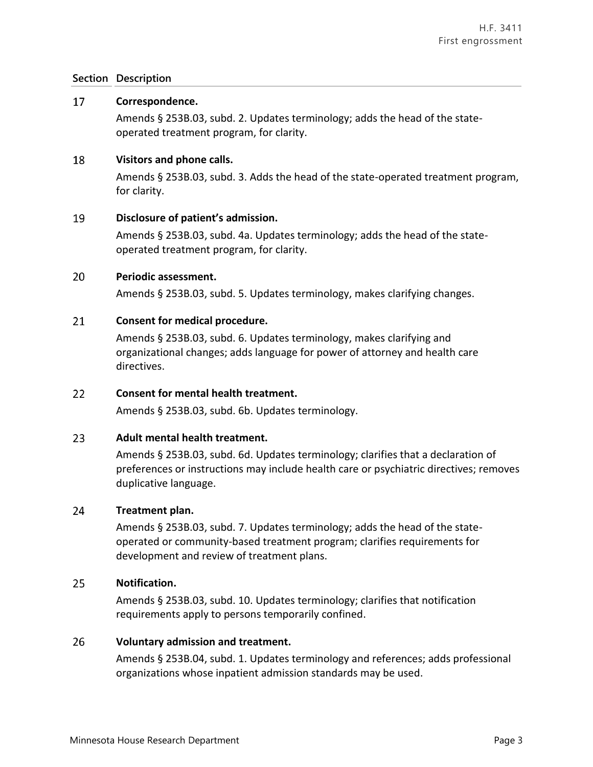#### 17 **Correspondence.**

Amends § 253B.03, subd. 2. Updates terminology; adds the head of the stateoperated treatment program, for clarity.

#### 18 **Visitors and phone calls.**

Amends § 253B.03, subd. 3. Adds the head of the state-operated treatment program, for clarity.

#### 19 **Disclosure of patient's admission.**

Amends § 253B.03, subd. 4a. Updates terminology; adds the head of the stateoperated treatment program, for clarity.

#### 20 **Periodic assessment.**

Amends § 253B.03, subd. 5. Updates terminology, makes clarifying changes.

#### 21 **Consent for medical procedure.**

Amends § 253B.03, subd. 6. Updates terminology, makes clarifying and organizational changes; adds language for power of attorney and health care directives.

#### 22 **Consent for mental health treatment.**

Amends § 253B.03, subd. 6b. Updates terminology.

#### $23<sup>°</sup>$ **Adult mental health treatment.**

Amends § 253B.03, subd. 6d. Updates terminology; clarifies that a declaration of preferences or instructions may include health care or psychiatric directives; removes duplicative language.

#### 24 **Treatment plan.**

Amends § 253B.03, subd. 7. Updates terminology; adds the head of the stateoperated or community-based treatment program; clarifies requirements for development and review of treatment plans.

#### 25 **Notification.**

Amends § 253B.03, subd. 10. Updates terminology; clarifies that notification requirements apply to persons temporarily confined.

#### 26 **Voluntary admission and treatment.**

Amends § 253B.04, subd. 1. Updates terminology and references; adds professional organizations whose inpatient admission standards may be used.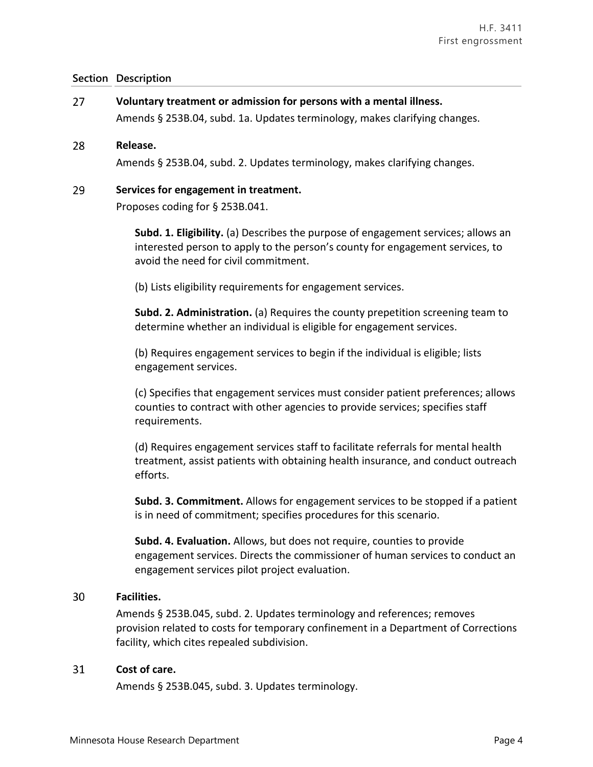27 **Voluntary treatment or admission for persons with a mental illness.** Amends § 253B.04, subd. 1a. Updates terminology, makes clarifying changes.

#### 28 **Release.**

Amends § 253B.04, subd. 2. Updates terminology, makes clarifying changes.

#### 29 **Services for engagement in treatment.**

Proposes coding for § 253B.041.

**Subd. 1. Eligibility.** (a) Describes the purpose of engagement services; allows an interested person to apply to the person's county for engagement services, to avoid the need for civil commitment.

(b) Lists eligibility requirements for engagement services.

**Subd. 2. Administration.** (a) Requires the county prepetition screening team to determine whether an individual is eligible for engagement services.

(b) Requires engagement services to begin if the individual is eligible; lists engagement services.

(c) Specifies that engagement services must consider patient preferences; allows counties to contract with other agencies to provide services; specifies staff requirements.

(d) Requires engagement services staff to facilitate referrals for mental health treatment, assist patients with obtaining health insurance, and conduct outreach efforts.

**Subd. 3. Commitment.** Allows for engagement services to be stopped if a patient is in need of commitment; specifies procedures for this scenario.

**Subd. 4. Evaluation.** Allows, but does not require, counties to provide engagement services. Directs the commissioner of human services to conduct an engagement services pilot project evaluation.

#### 30 **Facilities.**

Amends § 253B.045, subd. 2. Updates terminology and references; removes provision related to costs for temporary confinement in a Department of Corrections facility, which cites repealed subdivision.

#### 31 **Cost of care.**

Amends § 253B.045, subd. 3. Updates terminology.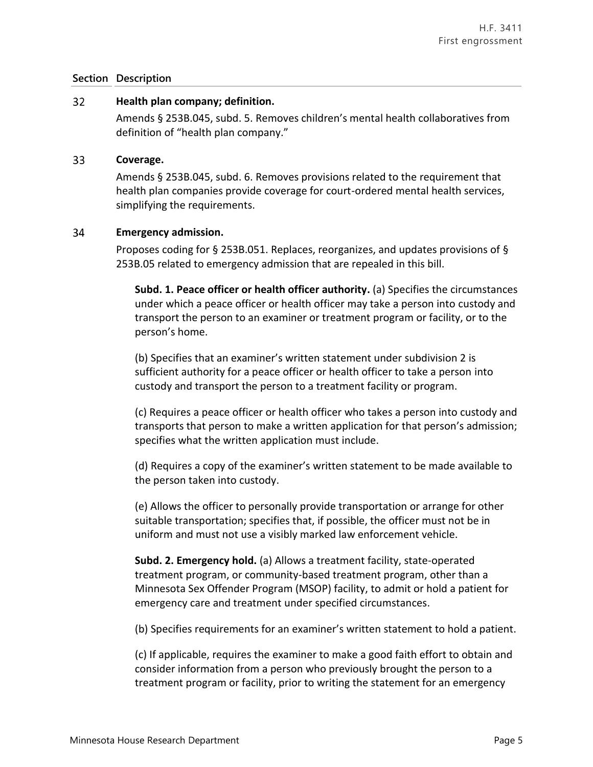#### $32<sup>2</sup>$ **Health plan company; definition.**

Amends § 253B.045, subd. 5. Removes children's mental health collaboratives from definition of "health plan company."

#### 33 **Coverage.**

Amends § 253B.045, subd. 6. Removes provisions related to the requirement that health plan companies provide coverage for court-ordered mental health services, simplifying the requirements.

#### 34 **Emergency admission.**

Proposes coding for § 253B.051. Replaces, reorganizes, and updates provisions of § 253B.05 related to emergency admission that are repealed in this bill.

**Subd. 1. Peace officer or health officer authority.** (a) Specifies the circumstances under which a peace officer or health officer may take a person into custody and transport the person to an examiner or treatment program or facility, or to the person's home.

(b) Specifies that an examiner's written statement under subdivision 2 is sufficient authority for a peace officer or health officer to take a person into custody and transport the person to a treatment facility or program.

(c) Requires a peace officer or health officer who takes a person into custody and transports that person to make a written application for that person's admission; specifies what the written application must include.

(d) Requires a copy of the examiner's written statement to be made available to the person taken into custody.

(e) Allows the officer to personally provide transportation or arrange for other suitable transportation; specifies that, if possible, the officer must not be in uniform and must not use a visibly marked law enforcement vehicle.

**Subd. 2. Emergency hold.** (a) Allows a treatment facility, state-operated treatment program, or community-based treatment program, other than a Minnesota Sex Offender Program (MSOP) facility, to admit or hold a patient for emergency care and treatment under specified circumstances.

(b) Specifies requirements for an examiner's written statement to hold a patient.

(c) If applicable, requires the examiner to make a good faith effort to obtain and consider information from a person who previously brought the person to a treatment program or facility, prior to writing the statement for an emergency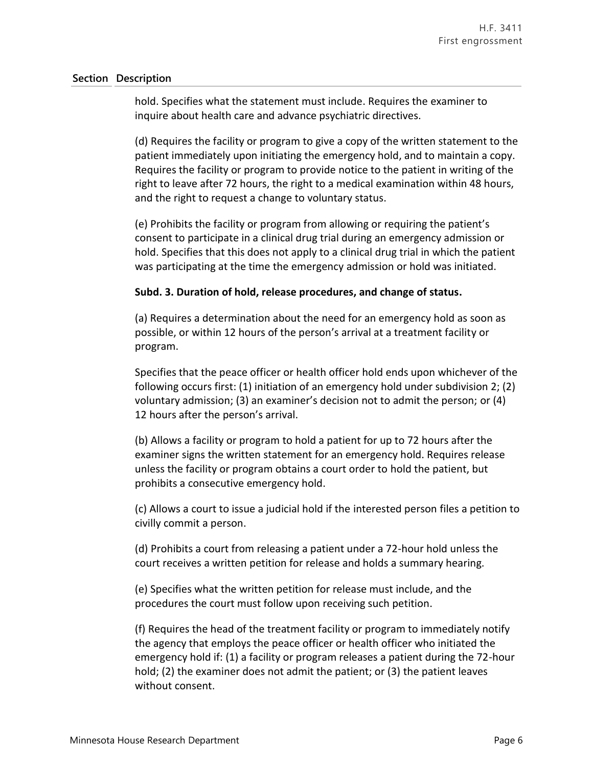hold. Specifies what the statement must include. Requires the examiner to inquire about health care and advance psychiatric directives.

(d) Requires the facility or program to give a copy of the written statement to the patient immediately upon initiating the emergency hold, and to maintain a copy. Requires the facility or program to provide notice to the patient in writing of the right to leave after 72 hours, the right to a medical examination within 48 hours, and the right to request a change to voluntary status.

(e) Prohibits the facility or program from allowing or requiring the patient's consent to participate in a clinical drug trial during an emergency admission or hold. Specifies that this does not apply to a clinical drug trial in which the patient was participating at the time the emergency admission or hold was initiated.

### **Subd. 3. Duration of hold, release procedures, and change of status.**

(a) Requires a determination about the need for an emergency hold as soon as possible, or within 12 hours of the person's arrival at a treatment facility or program.

Specifies that the peace officer or health officer hold ends upon whichever of the following occurs first: (1) initiation of an emergency hold under subdivision 2; (2) voluntary admission; (3) an examiner's decision not to admit the person; or (4) 12 hours after the person's arrival.

(b) Allows a facility or program to hold a patient for up to 72 hours after the examiner signs the written statement for an emergency hold. Requires release unless the facility or program obtains a court order to hold the patient, but prohibits a consecutive emergency hold.

(c) Allows a court to issue a judicial hold if the interested person files a petition to civilly commit a person.

(d) Prohibits a court from releasing a patient under a 72-hour hold unless the court receives a written petition for release and holds a summary hearing.

(e) Specifies what the written petition for release must include, and the procedures the court must follow upon receiving such petition.

(f) Requires the head of the treatment facility or program to immediately notify the agency that employs the peace officer or health officer who initiated the emergency hold if: (1) a facility or program releases a patient during the 72-hour hold; (2) the examiner does not admit the patient; or (3) the patient leaves without consent.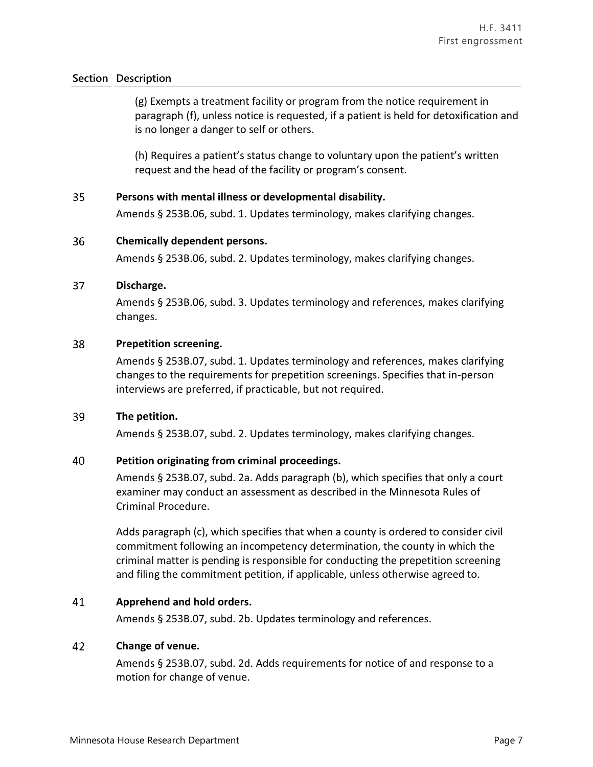(g) Exempts a treatment facility or program from the notice requirement in paragraph (f), unless notice is requested, if a patient is held for detoxification and is no longer a danger to self or others.

(h) Requires a patient's status change to voluntary upon the patient's written request and the head of the facility or program's consent.

#### 35 **Persons with mental illness or developmental disability.**

Amends § 253B.06, subd. 1. Updates terminology, makes clarifying changes.

#### 36 **Chemically dependent persons.**

Amends § 253B.06, subd. 2. Updates terminology, makes clarifying changes.

#### 37 **Discharge.**

Amends § 253B.06, subd. 3. Updates terminology and references, makes clarifying changes.

#### 38 **Prepetition screening.**

Amends § 253B.07, subd. 1. Updates terminology and references, makes clarifying changes to the requirements for prepetition screenings. Specifies that in-person interviews are preferred, if practicable, but not required.

#### 39 **The petition.**

Amends § 253B.07, subd. 2. Updates terminology, makes clarifying changes.

#### 40 **Petition originating from criminal proceedings.**

Amends § 253B.07, subd. 2a. Adds paragraph (b), which specifies that only a court examiner may conduct an assessment as described in the Minnesota Rules of Criminal Procedure.

Adds paragraph (c), which specifies that when a county is ordered to consider civil commitment following an incompetency determination, the county in which the criminal matter is pending is responsible for conducting the prepetition screening and filing the commitment petition, if applicable, unless otherwise agreed to.

#### 41 **Apprehend and hold orders.**

Amends § 253B.07, subd. 2b. Updates terminology and references.

#### 42 **Change of venue.**

Amends § 253B.07, subd. 2d. Adds requirements for notice of and response to a motion for change of venue.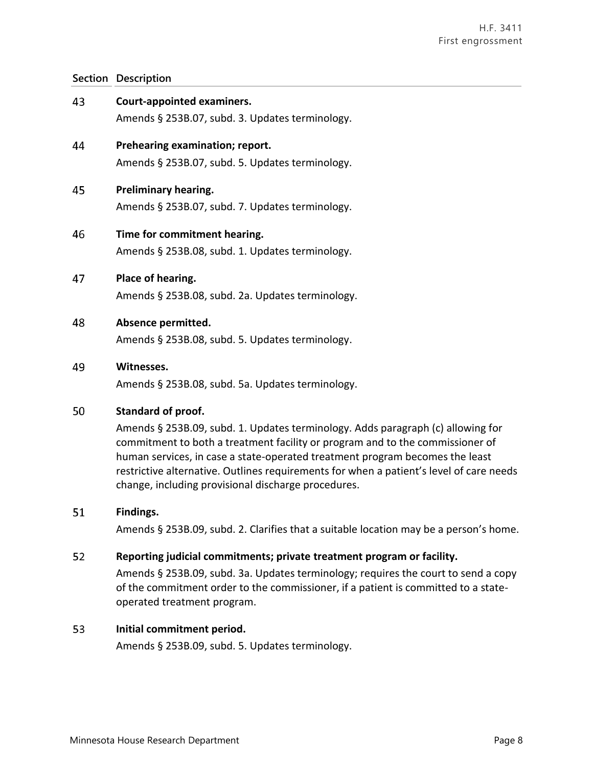| 43 | <b>Court-appointed examiners.</b><br>Amends § 253B.07, subd. 3. Updates terminology.                                                                                                                                                                                                                                                                                                                                     |
|----|--------------------------------------------------------------------------------------------------------------------------------------------------------------------------------------------------------------------------------------------------------------------------------------------------------------------------------------------------------------------------------------------------------------------------|
| 44 | Prehearing examination; report.<br>Amends § 253B.07, subd. 5. Updates terminology.                                                                                                                                                                                                                                                                                                                                       |
| 45 | <b>Preliminary hearing.</b><br>Amends § 253B.07, subd. 7. Updates terminology.                                                                                                                                                                                                                                                                                                                                           |
| 46 | Time for commitment hearing.<br>Amends § 253B.08, subd. 1. Updates terminology.                                                                                                                                                                                                                                                                                                                                          |
| 47 | Place of hearing.<br>Amends § 253B.08, subd. 2a. Updates terminology.                                                                                                                                                                                                                                                                                                                                                    |
| 48 | Absence permitted.<br>Amends § 253B.08, subd. 5. Updates terminology.                                                                                                                                                                                                                                                                                                                                                    |
| 49 | Witnesses.<br>Amends § 253B.08, subd. 5a. Updates terminology.                                                                                                                                                                                                                                                                                                                                                           |
| 50 | Standard of proof.<br>Amends § 253B.09, subd. 1. Updates terminology. Adds paragraph (c) allowing for<br>commitment to both a treatment facility or program and to the commissioner of<br>human services, in case a state-operated treatment program becomes the least<br>restrictive alternative. Outlines requirements for when a patient's level of care needs<br>change, including provisional discharge procedures. |
| 51 | Findings.<br>Amends § 253B.09, subd. 2. Clarifies that a suitable location may be a person's home.                                                                                                                                                                                                                                                                                                                       |
| 52 | Reporting judicial commitments; private treatment program or facility.<br>Amends § 253B.09, subd. 3a. Updates terminology; requires the court to send a copy<br>of the commitment order to the commissioner, if a patient is committed to a state-<br>operated treatment program.                                                                                                                                        |

#### 53 **Initial commitment period.**

Amends § 253B.09, subd. 5. Updates terminology.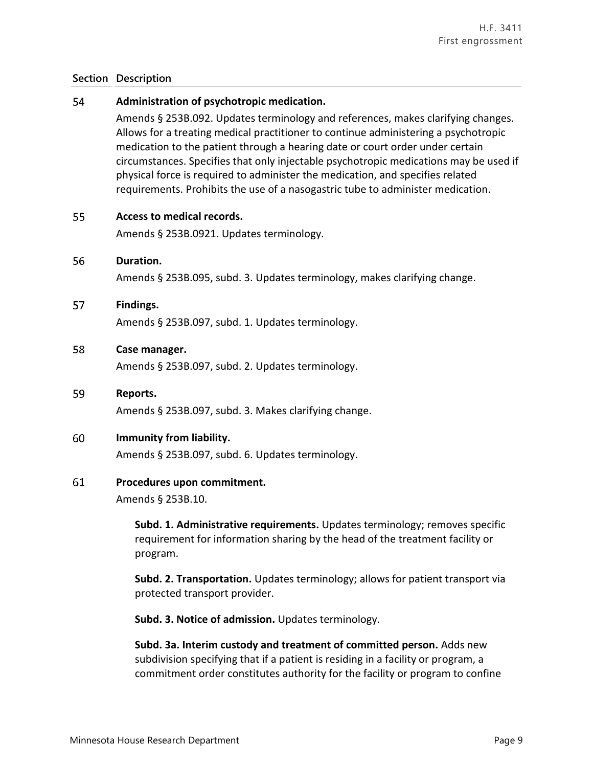#### 54 **Administration of psychotropic medication.**

Amends § 253B.092. Updates terminology and references, makes clarifying changes. Allows for a treating medical practitioner to continue administering a psychotropic medication to the patient through a hearing date or court order under certain circumstances. Specifies that only injectable psychotropic medications may be used if physical force is required to administer the medication, and specifies related requirements. Prohibits the use of a nasogastric tube to administer medication.

#### 55 **Access to medical records.**

Amends § 253B.0921. Updates terminology.

#### 56 **Duration.**

Amends § 253B.095, subd. 3. Updates terminology, makes clarifying change.

#### 57 **Findings.**

Amends § 253B.097, subd. 1. Updates terminology.

#### 58 **Case manager.**

Amends § 253B.097, subd. 2. Updates terminology.

#### 59 **Reports.**

Amends § 253B.097, subd. 3. Makes clarifying change.

#### 60 **Immunity from liability.**

Amends § 253B.097, subd. 6. Updates terminology.

#### 61 **Procedures upon commitment.**

Amends § 253B.10.

**Subd. 1. Administrative requirements.** Updates terminology; removes specific requirement for information sharing by the head of the treatment facility or program.

**Subd. 2. Transportation.** Updates terminology; allows for patient transport via protected transport provider.

**Subd. 3. Notice of admission.** Updates terminology.

**Subd. 3a. Interim custody and treatment of committed person.** Adds new subdivision specifying that if a patient is residing in a facility or program, a commitment order constitutes authority for the facility or program to confine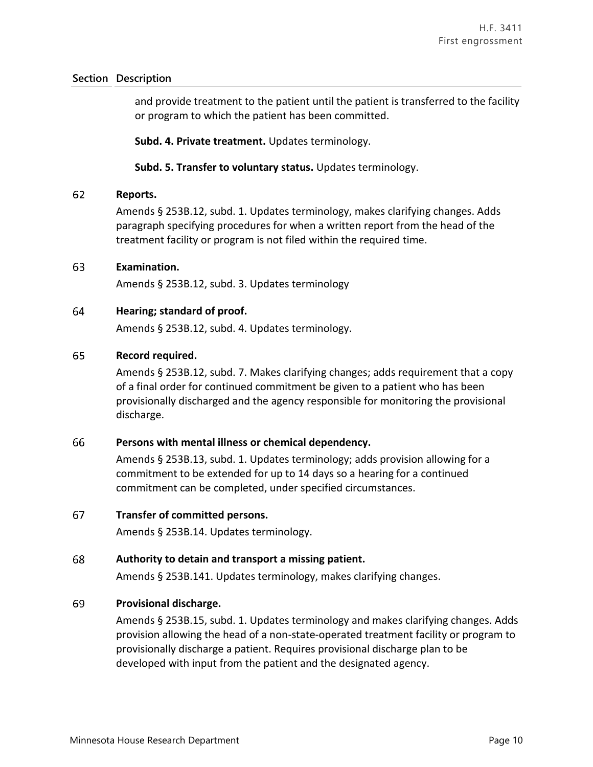and provide treatment to the patient until the patient is transferred to the facility or program to which the patient has been committed.

**Subd. 4. Private treatment.** Updates terminology.

### **Subd. 5. Transfer to voluntary status.** Updates terminology.

#### 62 **Reports.**

Amends § 253B.12, subd. 1. Updates terminology, makes clarifying changes. Adds paragraph specifying procedures for when a written report from the head of the treatment facility or program is not filed within the required time.

#### 63 **Examination.**

Amends § 253B.12, subd. 3. Updates terminology

#### 64 **Hearing; standard of proof.**

Amends § 253B.12, subd. 4. Updates terminology.

#### 65 **Record required.**

Amends § 253B.12, subd. 7. Makes clarifying changes; adds requirement that a copy of a final order for continued commitment be given to a patient who has been provisionally discharged and the agency responsible for monitoring the provisional discharge.

#### 66 **Persons with mental illness or chemical dependency.**

Amends § 253B.13, subd. 1. Updates terminology; adds provision allowing for a commitment to be extended for up to 14 days so a hearing for a continued commitment can be completed, under specified circumstances.

#### 67 **Transfer of committed persons.**

Amends § 253B.14. Updates terminology.

#### 68 **Authority to detain and transport a missing patient.**

Amends § 253B.141. Updates terminology, makes clarifying changes.

#### 69 **Provisional discharge.**

Amends § 253B.15, subd. 1. Updates terminology and makes clarifying changes. Adds provision allowing the head of a non-state-operated treatment facility or program to provisionally discharge a patient. Requires provisional discharge plan to be developed with input from the patient and the designated agency.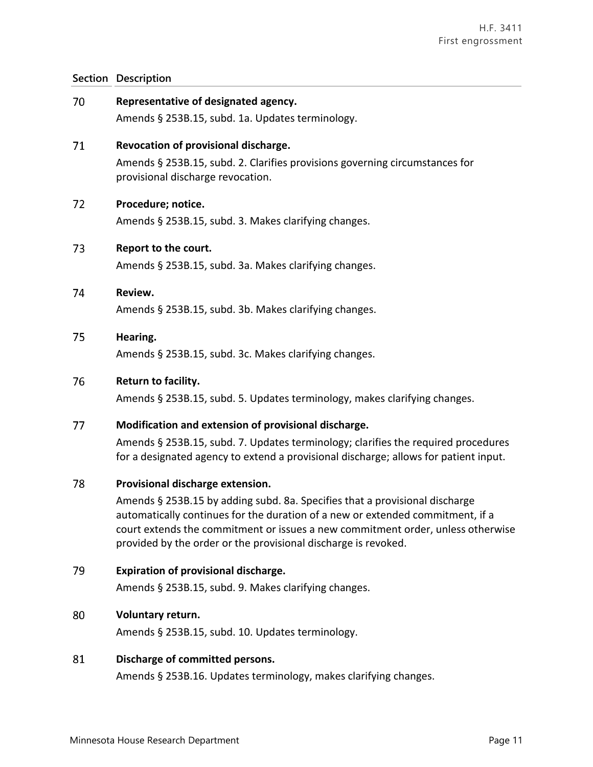| 70 | Representative of designated agency.<br>Amends § 253B.15, subd. 1a. Updates terminology.                                                                                                                                                                                                                                                               |
|----|--------------------------------------------------------------------------------------------------------------------------------------------------------------------------------------------------------------------------------------------------------------------------------------------------------------------------------------------------------|
| 71 | Revocation of provisional discharge.<br>Amends § 253B.15, subd. 2. Clarifies provisions governing circumstances for<br>provisional discharge revocation.                                                                                                                                                                                               |
| 72 | Procedure; notice.<br>Amends § 253B.15, subd. 3. Makes clarifying changes.                                                                                                                                                                                                                                                                             |
| 73 | Report to the court.<br>Amends § 253B.15, subd. 3a. Makes clarifying changes.                                                                                                                                                                                                                                                                          |
| 74 | Review.<br>Amends § 253B.15, subd. 3b. Makes clarifying changes.                                                                                                                                                                                                                                                                                       |
| 75 | Hearing.<br>Amends § 253B.15, subd. 3c. Makes clarifying changes.                                                                                                                                                                                                                                                                                      |
| 76 | Return to facility.<br>Amends § 253B.15, subd. 5. Updates terminology, makes clarifying changes.                                                                                                                                                                                                                                                       |
| 77 | Modification and extension of provisional discharge.<br>Amends § 253B.15, subd. 7. Updates terminology; clarifies the required procedures<br>for a designated agency to extend a provisional discharge; allows for patient input.                                                                                                                      |
| 78 | Provisional discharge extension.<br>Amends § 253B.15 by adding subd. 8a. Specifies that a provisional discharge<br>automatically continues for the duration of a new or extended commitment, if a<br>court extends the commitment or issues a new commitment order, unless otherwise<br>provided by the order or the provisional discharge is revoked. |
| 79 | <b>Expiration of provisional discharge.</b><br>Amends § 253B.15, subd. 9. Makes clarifying changes.                                                                                                                                                                                                                                                    |
| 80 | Voluntary return.<br>Amends § 253B.15, subd. 10. Updates terminology.                                                                                                                                                                                                                                                                                  |
| 81 | Discharge of committed persons.<br>Amends § 253B.16. Updates terminology, makes clarifying changes.                                                                                                                                                                                                                                                    |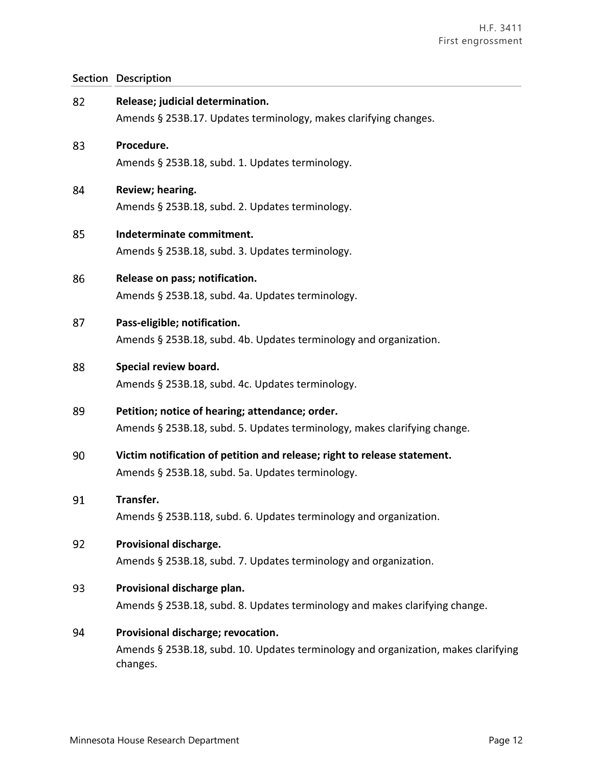| 82 | Release; judicial determination.<br>Amends § 253B.17. Updates terminology, makes clarifying changes.                                 |
|----|--------------------------------------------------------------------------------------------------------------------------------------|
| 83 | Procedure.<br>Amends § 253B.18, subd. 1. Updates terminology.                                                                        |
| 84 | Review; hearing.<br>Amends § 253B.18, subd. 2. Updates terminology.                                                                  |
| 85 | Indeterminate commitment.<br>Amends § 253B.18, subd. 3. Updates terminology.                                                         |
| 86 | Release on pass; notification.<br>Amends § 253B.18, subd. 4a. Updates terminology.                                                   |
| 87 | Pass-eligible; notification.<br>Amends § 253B.18, subd. 4b. Updates terminology and organization.                                    |
| 88 | Special review board.<br>Amends § 253B.18, subd. 4c. Updates terminology.                                                            |
| 89 | Petition; notice of hearing; attendance; order.<br>Amends § 253B.18, subd. 5. Updates terminology, makes clarifying change.          |
| 90 | Victim notification of petition and release; right to release statement.<br>Amends § 253B.18, subd. 5a. Updates terminology.         |
| 91 | Transfer.<br>Amends § 253B.118, subd. 6. Updates terminology and organization.                                                       |
| 92 | Provisional discharge.<br>Amends § 253B.18, subd. 7. Updates terminology and organization.                                           |
| 93 | Provisional discharge plan.<br>Amends § 253B.18, subd. 8. Updates terminology and makes clarifying change.                           |
| 94 | Provisional discharge; revocation.<br>Amends § 253B.18, subd. 10. Updates terminology and organization, makes clarifying<br>changes. |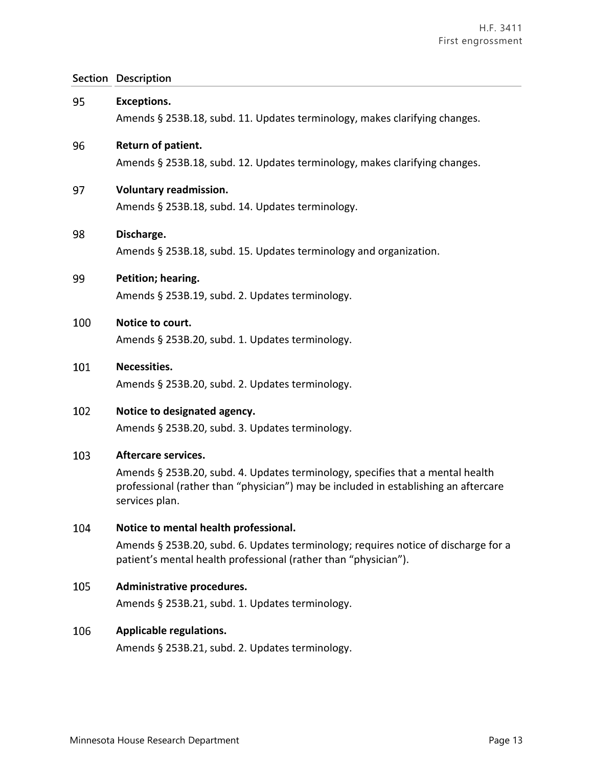| 95  | <b>Exceptions.</b>                                                                                                                                                                      |
|-----|-----------------------------------------------------------------------------------------------------------------------------------------------------------------------------------------|
|     | Amends § 253B.18, subd. 11. Updates terminology, makes clarifying changes.                                                                                                              |
| 96  | Return of patient.                                                                                                                                                                      |
|     | Amends § 253B.18, subd. 12. Updates terminology, makes clarifying changes.                                                                                                              |
| 97  | <b>Voluntary readmission.</b>                                                                                                                                                           |
|     | Amends § 253B.18, subd. 14. Updates terminology.                                                                                                                                        |
| 98  | Discharge.                                                                                                                                                                              |
|     | Amends § 253B.18, subd. 15. Updates terminology and organization.                                                                                                                       |
| 99  | Petition; hearing.                                                                                                                                                                      |
|     | Amends § 253B.19, subd. 2. Updates terminology.                                                                                                                                         |
| 100 | Notice to court.                                                                                                                                                                        |
|     | Amends § 253B.20, subd. 1. Updates terminology.                                                                                                                                         |
| 101 | Necessities.                                                                                                                                                                            |
|     | Amends § 253B.20, subd. 2. Updates terminology.                                                                                                                                         |
| 102 | Notice to designated agency.                                                                                                                                                            |
|     | Amends § 253B.20, subd. 3. Updates terminology.                                                                                                                                         |
| 103 | <b>Aftercare services.</b>                                                                                                                                                              |
|     | Amends § 253B.20, subd. 4. Updates terminology, specifies that a mental health<br>professional (rather than "physician") may be included in establishing an aftercare<br>services plan. |
| 104 | Notice to mental health professional.                                                                                                                                                   |
|     | Amends § 253B.20, subd. 6. Updates terminology; requires notice of discharge for a<br>patient's mental health professional (rather than "physician").                                   |
| 105 | Administrative procedures.                                                                                                                                                              |
|     | Amends § 253B.21, subd. 1. Updates terminology.                                                                                                                                         |
| 106 | <b>Applicable regulations.</b>                                                                                                                                                          |

Amends § 253B.21, subd. 2. Updates terminology.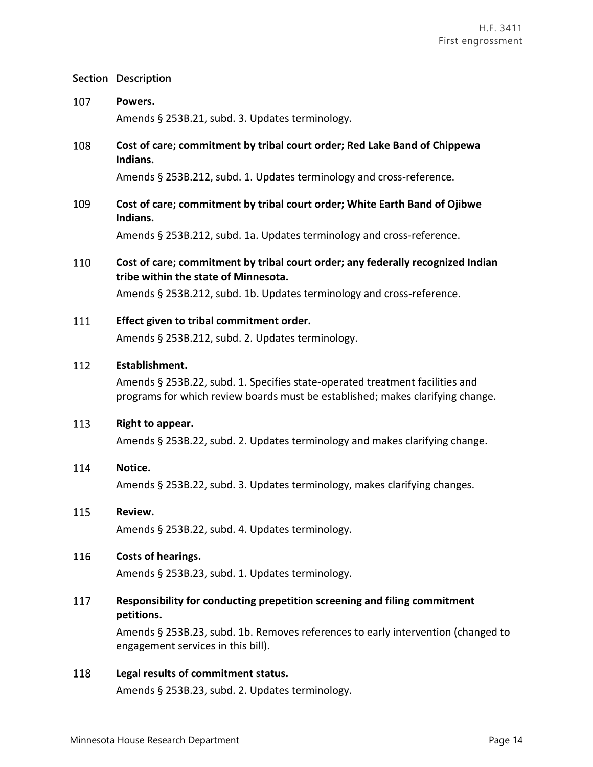| 107 | Powers.<br>Amends § 253B.21, subd. 3. Updates terminology.                                                                                                                       |
|-----|----------------------------------------------------------------------------------------------------------------------------------------------------------------------------------|
| 108 | Cost of care; commitment by tribal court order; Red Lake Band of Chippewa<br>Indians.                                                                                            |
|     | Amends § 253B.212, subd. 1. Updates terminology and cross-reference.                                                                                                             |
| 109 | Cost of care; commitment by tribal court order; White Earth Band of Ojibwe<br>Indians.                                                                                           |
|     | Amends § 253B.212, subd. 1a. Updates terminology and cross-reference.                                                                                                            |
| 110 | Cost of care; commitment by tribal court order; any federally recognized Indian<br>tribe within the state of Minnesota.                                                          |
|     | Amends § 253B.212, subd. 1b. Updates terminology and cross-reference.                                                                                                            |
| 111 | Effect given to tribal commitment order.<br>Amends § 253B.212, subd. 2. Updates terminology.                                                                                     |
| 112 | Establishment.<br>Amends § 253B.22, subd. 1. Specifies state-operated treatment facilities and<br>programs for which review boards must be established; makes clarifying change. |
| 113 | Right to appear.<br>Amends § 253B.22, subd. 2. Updates terminology and makes clarifying change.                                                                                  |
| 114 | Notice.<br>Amends § 253B.22, subd. 3. Updates terminology, makes clarifying changes.                                                                                             |
| 115 | Review.<br>Amends § 253B.22, subd. 4. Updates terminology.                                                                                                                       |
| 116 | Costs of hearings.<br>Amends § 253B.23, subd. 1. Updates terminology.                                                                                                            |
| 117 | Responsibility for conducting prepetition screening and filing commitment<br>petitions.                                                                                          |
|     | Amends § 253B.23, subd. 1b. Removes references to early intervention (changed to<br>engagement services in this bill).                                                           |
| 118 | Legal results of commitment status.<br>Amends § 253B.23, subd. 2. Updates terminology.                                                                                           |